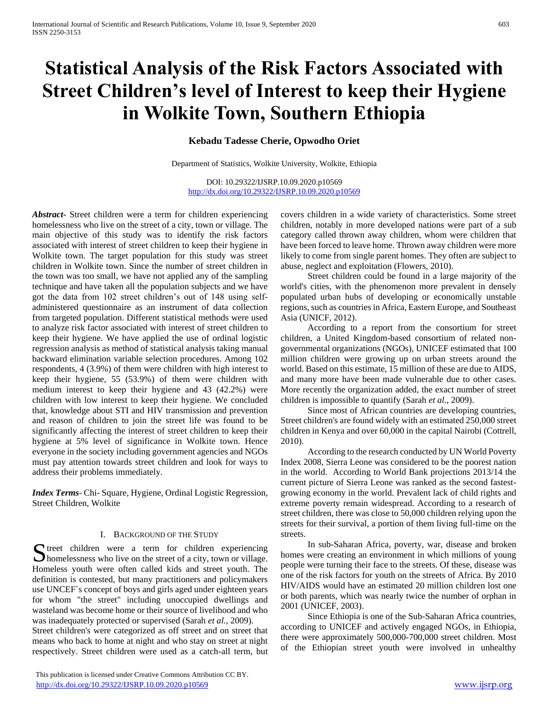# **Statistical Analysis of the Risk Factors Associated with Street Children's level of Interest to keep their Hygiene in Wolkite Town, Southern Ethiopia**

# **Kebadu Tadesse Cherie, Opwodho Oriet**

Department of Statistics, Wolkite University, Wolkite, Ethiopia

DOI: 10.29322/IJSRP.10.09.2020.p10569 <http://dx.doi.org/10.29322/IJSRP.10.09.2020.p10569>

*Abstract***-** Street children were a term for children experiencing homelessness who live on the street of a city, town or village. The main objective of this study was to identify the risk factors associated with interest of street children to keep their hygiene in Wolkite town. The target population for this study was street children in Wolkite town. Since the number of street children in the town was too small, we have not applied any of the sampling technique and have taken all the population subjects and we have got the data from 102 street children's out of 148 using selfadministered questionnaire as an instrument of data collection from targeted population. Different statistical methods were used to analyze risk factor associated with interest of street children to keep their hygiene. We have applied the use of ordinal logistic regression analysis as method of statistical analysis taking manual backward elimination variable selection procedures. Among 102 respondents, 4 (3.9%) of them were children with high interest to keep their hygiene, 55 (53.9%) of them were children with medium interest to keep their hygiene and 43 (42.2%) were children with low interest to keep their hygiene. We concluded that, knowledge about STI and HIV transmission and prevention and reason of children to join the street life was found to be significantly affecting the interest of street children to keep their hygiene at 5% level of significance in Wolkite town. Hence everyone in the society including government agencies and NGOs must pay attention towards street children and look for ways to address their problems immediately.

*Index Terms*- Chi- Square, Hygiene, Ordinal Logistic Regression, Street Children, Wolkite

#### I. BACKGROUND OF THE STUDY

S treet children were a term for children experiencing<br>homelessness who live on the street of a city, town or village.  $\Box$  homelessness who live on the street of a city, town or village. Homeless youth were often called kids and street youth. The definition is contested, but many practitioners and policymakers use UNCEF`s concept of boys and girls aged under eighteen years for whom "the street" including unoccupied dwellings and wasteland was become home or their source of livelihood and who was inadequately protected or supervised (Sarah *et al.*, 2009).

Street children's were categorized as off street and on street that means who back to home at night and who stay on street at night respectively. Street children were used as a catch-all term, but

 This publication is licensed under Creative Commons Attribution CC BY. <http://dx.doi.org/10.29322/IJSRP.10.09.2020.p10569> [www.ijsrp.org](http://ijsrp.org/)

covers children in a wide variety of characteristics. Some street children, notably in more developed nations were part of a sub category called thrown away children, whom were children that have been forced to leave home. Thrown away children were more likely to come from single parent homes. They often are subject to abuse, neglect and exploitation (Flowers, 2010).

 Street children could be found in a large majority of the world's cities, with the phenomenon more prevalent in densely populated urban hubs of developing or economically unstable regions, such as countries in Africa, Eastern Europe, and Southeast Asia (UNICF, 2012).

 According to a report from the consortium for street children, a United Kingdom-based consortium of related nongovernmental organizations (NGOs), UNICEF estimated that 100 million children were growing up on urban streets around the world. Based on this estimate, 15 million of these are due to AIDS, and many more have been made vulnerable due to other cases. More recently the organization added, the exact number of street children is impossible to quantify (Sarah *et al*., 2009).

 Since most of African countries are developing countries, Street children's are found widely with an estimated 250,000 street children in Kenya and over 60,000 in the capital Nairobi (Cottrell, 2010).

 According to the research conducted by UN World Poverty Index 2008, Sierra Leone was considered to be the poorest nation in the world. According to World Bank projections 2013/14 the current picture of Sierra Leone was ranked as the second fastestgrowing economy in the world. Prevalent lack of child rights and extreme poverty remain widespread. According to a research of street children, there was close to 50,000 children relying upon the streets for their survival, a portion of them living full-time on the streets.

 In sub-Saharan Africa, poverty, war, disease and broken homes were creating an environment in which millions of young people were turning their face to the streets. Of these, disease was one of the risk factors for youth on the streets of Africa. By 2010 HIV/AIDS would have an estimated 20 million children lost one or both parents, which was nearly twice the number of orphan in 2001 (UNICEF, 2003).

 Since Ethiopia is one of the Sub-Saharan Africa countries, according to UNICEF and actively engaged NGOs, in Ethiopia, there were approximately 500,000-700,000 street children. Most of the Ethiopian street youth were involved in unhealthy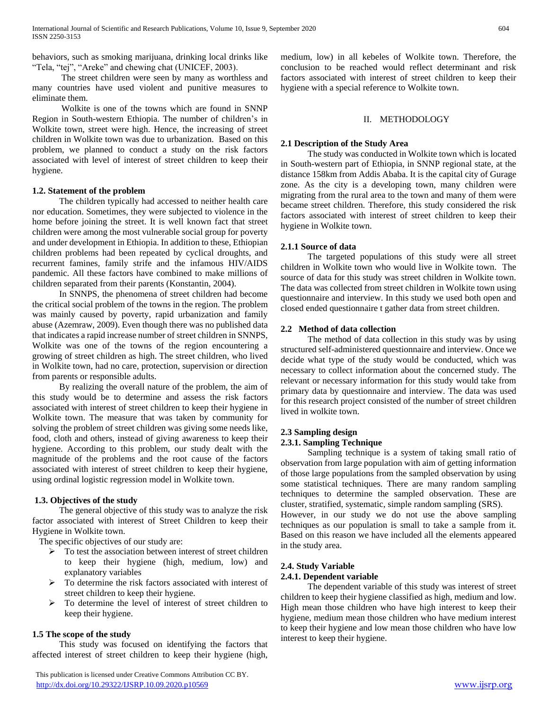behaviors, such as smoking marijuana, drinking local drinks like "Tela, "tej", "Areke" and chewing chat (UNICEF, 2003).

 The street children were seen by many as worthless and many countries have used violent and punitive measures to eliminate them.

 Wolkite is one of the towns which are found in SNNP Region in South-western Ethiopia. The number of children's in Wolkite town, street were high. Hence, the increasing of street children in Wolkite town was due to urbanization. Based on this problem, we planned to conduct a study on the risk factors associated with level of interest of street children to keep their hygiene.

# **1.2. Statement of the problem**

 The children typically had accessed to neither health care nor education. Sometimes, they were subjected to violence in the home before joining the street. It is well known fact that street children were among the most vulnerable social group for poverty and under development in Ethiopia. In addition to these, Ethiopian children problems had been repeated by cyclical droughts, and recurrent famines, family strife and the infamous HIV/AIDS pandemic. All these factors have combined to make millions of children separated from their parents (Konstantin, 2004).

 In SNNPS, the phenomena of street children had become the critical social problem of the towns in the region. The problem was mainly caused by poverty, rapid urbanization and family abuse (Azemraw, 2009). Even though there was no published data that indicates a rapid increase number of street children in SNNPS, Wolkite was one of the towns of the region encountering a growing of street children as high. The street children, who lived in Wolkite town, had no care, protection, supervision or direction from parents or responsible adults.

 By realizing the overall nature of the problem, the aim of this study would be to determine and assess the risk factors associated with interest of street children to keep their hygiene in Wolkite town. The measure that was taken by community for solving the problem of street children was giving some needs like, food, cloth and others, instead of giving awareness to keep their hygiene. According to this problem, our study dealt with the magnitude of the problems and the root cause of the factors associated with interest of street children to keep their hygiene, using ordinal logistic regression model in Wolkite town.

# **1.3. Objectives of the study**

 The general objective of this study was to analyze the risk factor associated with interest of Street Children to keep their Hygiene in Wolkite town.

The specific objectives of our study are:

- $\triangleright$  To test the association between interest of street children to keep their hygiene (high, medium, low) and explanatory variables
- $\triangleright$  To determine the risk factors associated with interest of street children to keep their hygiene.
- $\triangleright$  To determine the level of interest of street children to keep their hygiene.

# **1.5 The scope of the study**

 This study was focused on identifying the factors that affected interest of street children to keep their hygiene (high,

 This publication is licensed under Creative Commons Attribution CC BY. <http://dx.doi.org/10.29322/IJSRP.10.09.2020.p10569> [www.ijsrp.org](http://ijsrp.org/)

medium, low) in all kebeles of Wolkite town. Therefore, the conclusion to be reached would reflect determinant and risk factors associated with interest of street children to keep their hygiene with a special reference to Wolkite town.

# II. METHODOLOGY

# **2.1 Description of the Study Area**

 The study was conducted in Wolkite town which is located in South-western part of Ethiopia, in SNNP regional state, at the distance 158km from Addis Ababa. It is the capital city of Gurage zone. As the city is a developing town, many children were migrating from the rural area to the town and many of them were became street children. Therefore, this study considered the risk factors associated with interest of street children to keep their hygiene in Wolkite town.

# **2.1.1 Source of data**

 The targeted populations of this study were all street children in Wolkite town who would live in Wolkite town. The source of data for this study was street children in Wolkite town. The data was collected from street children in Wolkite town using questionnaire and interview. In this study we used both open and closed ended questionnaire t gather data from street children.

# **2.2 Method of data collection**

 The method of data collection in this study was by using structured self-administered questionnaire and interview. Once we decide what type of the study would be conducted, which was necessary to collect information about the concerned study. The relevant or necessary information for this study would take from primary data by questionnaire and interview. The data was used for this research project consisted of the number of street children lived in wolkite town.

#### **2.3 Sampling design**

# **2.3.1. Sampling Technique**

 Sampling technique is a system of taking small ratio of observation from large population with aim of getting information of those large populations from the sampled observation by using some statistical techniques. There are many random sampling techniques to determine the sampled observation. These are cluster, stratified, systematic, simple random sampling (SRS).

However, in our study we do not use the above sampling techniques as our population is small to take a sample from it. Based on this reason we have included all the elements appeared in the study area.

## **2.4. Study Variable**

#### **2.4.1. Dependent variable**

 The dependent variable of this study was interest of street children to keep their hygiene classified as high, medium and low. High mean those children who have high interest to keep their hygiene, medium mean those children who have medium interest to keep their hygiene and low mean those children who have low interest to keep their hygiene.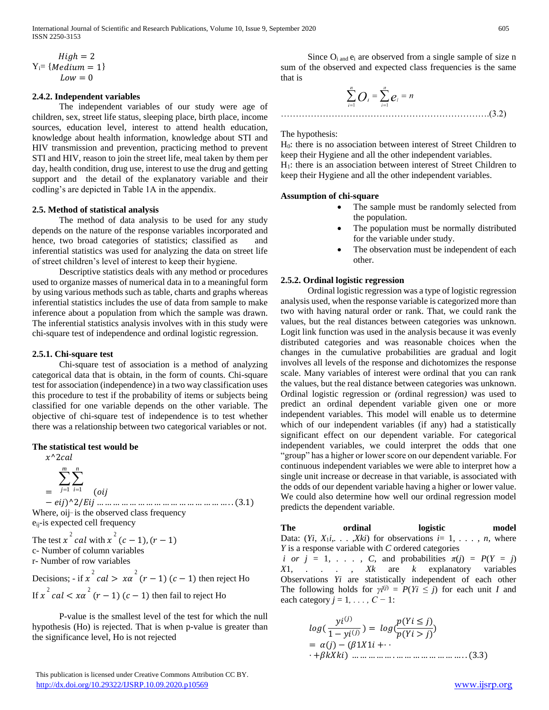International Journal of Scientific and Research Publications, Volume 10, Issue 9, September 2020 605 ISSN 2250-3153

$$
High = 2
$$
  
 
$$
Y_{i} = \{ Medium = 1 \}
$$
  
 
$$
Low = 0
$$

#### **2.4.2. Independent variables**

 The independent variables of our study were age of children, sex, street life status, sleeping place, birth place, income sources, education level, interest to attend health education, knowledge about health information, knowledge about STI and HIV transmission and prevention, practicing method to prevent STI and HIV, reason to join the street life, meal taken by them per day, health condition, drug use, interest to use the drug and getting support and the detail of the explanatory variable and their codling's are depicted in Table 1A in the appendix.

#### **2.5. Method of statistical analysis**

 The method of data analysis to be used for any study depends on the nature of the response variables incorporated and hence, two broad categories of statistics; classified as and inferential statistics was used for analyzing the data on street life of street children's level of interest to keep their hygiene.

 Descriptive statistics deals with any method or procedures used to organize masses of numerical data in to a meaningful form by using various methods such as table, charts and graphs whereas inferential statistics includes the use of data from sample to make inference about a population from which the sample was drawn. The inferential statistics analysis involves with in this study were chi-square test of independence and ordinal logistic regression.

#### **2.5.1. Chi-square test**

 Chi-square test of association is a method of analyzing categorical data that is obtain, in the form of counts. Chi-square test for association (independence) in a two way classification uses this procedure to test if the probability of items or subjects being classified for one variable depends on the other variable. The objective of chi-square test of independence is to test whether there was a relationship between two categorical variables or not.

#### **The statistical test would be**

$$
x^{\wedge}2cal
$$
  
= 
$$
\sum_{j=1}^{m} \sum_{i=1}^{n}
$$
 (oij  
= 
$$
eij)^{\wedge}2/Eij \dots \dots \dots
$$

− )^2/ … … … … … … … … … … … … … … … … . . (3.1) Where, oij- is the observed class frequency eij-is expected cell frequency

The test  $x^2$  cal with  $x^2$  (c – 1), (r – 1) c- Number of column variables r- Number of row variables

Decisions; - if  $x^2$  cal  $\gt x\alpha^2$   $(r-1)$   $(c-1)$  then reject Ho If  $x^2$  cal  $\lt x a^2$   $(r-1)$   $(c-1)$  then fail to reject Ho

 P-value is the smallest level of the test for which the null hypothesis (Ho) is rejected. That is when p-value is greater than the significance level, Ho is not rejected

 This publication is licensed under Creative Commons Attribution CC BY. <http://dx.doi.org/10.29322/IJSRP.10.09.2020.p10569> [www.ijsrp.org](http://ijsrp.org/)

Since  $O_i$ <sub>and</sub>  $e_i$  are observed from a single sample of size n sum of the observed and expected class frequencies is the same that is

$$
\sum_{i=1}^{n} O_i = \sum_{i=1}^{n} e_i = n
$$
 (3.2)

#### The hypothesis:

H0: there is no association between interest of Street Children to keep their Hygiene and all the other independent variables. H1: there is an association between interest of Street Children to keep their Hygiene and all the other independent variables.

#### **Assumption of chi-square**

- The sample must be randomly selected from the population.
- The population must be normally distributed for the variable under study.
- The observation must be independent of each other.

#### **2.5.2. Ordinal logistic regression**

 Ordinal logistic regression was a type of logistic regression analysis used, when the response variable is categorized more than two with having natural order or rank. That, we could rank the values, but the real distances between categories was unknown. Logit link function was used in the analysis because it was evenly distributed categories and was reasonable choices when the changes in the cumulative probabilities are gradual and logit involves all levels of the response and dichotomizes the response scale. Many variables of interest were ordinal that you can rank the values, but the real distance between categories was unknown. Ordinal logistic regression or *(*ordinal regression*)* was used to predict an ordinal dependent variable given one or more independent variables. This model will enable us to determine which of our independent variables (if any) had a statistically significant effect on our dependent variable. For categorical independent variables, we could interpret the odds that one "group" has a higher or lower score on our dependent variable. For continuous independent variables we were able to interpret how a single unit increase or decrease in that variable, is associated with the odds of our dependent variable having a higher or lower value. We could also determine how well our ordinal regression model predicts the dependent variable.

The ordinal logistic model Data:  $(Y_i, X_1i, \ldots, Xki)$  for observations  $i=1, \ldots, n$ , where *Y* is a response variable with *C* ordered categories *i or*  $j = 1, \ldots, C$ , and probabilities  $\pi(j) = P(Y = j)$ 

*X*1*, . . . , Xk* are *k* explanatory variables Observations *Yi* are statistically independent of each other The following holds for  $\gamma i^{(j)} = P(Y_i \leq j)$  for each unit *I* and each category  $j = 1, \ldots, C - 1$ :

$$
log(\frac{yi^{(j)}}{1 - yi^{(j)}}) = log(\frac{p(Yi \le j)}{p(Yi > j)})
$$
  
=  $\alpha(j) - (\beta 1X1i + \cdots + \beta kXki)$  ....... ... ....... (3.3)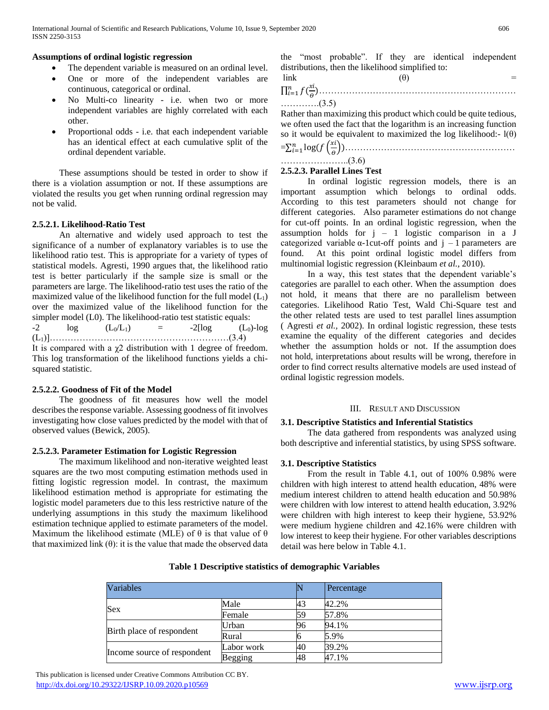## **Assumptions of ordinal logistic regression**

- The dependent variable is measured on an ordinal level.
- One or more of the independent variables are continuous, categorical or ordinal.
- No Multi-co linearity i.e. when two or more independent variables are highly correlated with each other.
- Proportional odds i.e. that each independent variable has an identical effect at each cumulative split of the ordinal dependent variable.

 These assumptions should be tested in order to show if there is a violation assumption or not. If these assumptions are violated the results you get when running ordinal regression may not be valid.

# **2.5.2.1. Likelihood-Ratio Test**

 An alternative and widely used approach to test the significance of a number of explanatory variables is to use the likelihood ratio test. This is appropriate for a variety of types of statistical models. Agresti, 1990 argues that, the likelihood ratio test is better particularly if the sample size is small or the parameters are large. The likelihood-ratio test uses the ratio of the maximized value of the likelihood function for the full model  $(L_1)$ over the maximized value of the likelihood function for the simpler model (L0). The likelihood-ratio test statistic equals:  $-2$   $\log$   $(L_0/L_1)$  =  $-2[\log$   $(L_0)-\log$  $(L_1)$ ]………………………………………………………………(3.4) It is compared with a  $\chi$ 2 distribution with 1 degree of freedom.

This log transformation of the likelihood functions yields a chisquared statistic.

# **2.5.2.2. Goodness of Fit of the Model**

 The goodness of fit measures how well the model describes the response variable. Assessing goodness of fit involves investigating how close values predicted by the model with that of observed values (Bewick, 2005).

# **2.5.2.3. Parameter Estimation for Logistic Regression**

 The maximum likelihood and non-iterative weighted least squares are the two most computing estimation methods used in fitting logistic regression model. In contrast, the maximum likelihood estimation method is appropriate for estimating the logistic model parameters due to this less restrictive nature of the underlying assumptions in this study the maximum likelihood estimation technique applied to estimate parameters of the model. Maximum the likelihood estimate (MLE) of  $\theta$  is that value of  $\theta$ that maximized link  $(\theta)$ : it is the value that made the observed data the "most probable". If they are identical independent distributions, then the likelihood simplified to:

link (0) =  
\n
$$
\Pi_{i=1}^{n} f\left(\frac{x^{i}}{\theta}\right)
$$

………….(3.5)

Rather than maximizing this product which could be quite tedious, we often used the fact that the logarithm is an increasing function so it would be equivalent to maximized the log likelihood:-  $l(\theta)$ 

=∑ log( ( )) =1 …………………………………………………

#### …………………..(3.6) **2.5.2.3. Parallel Lines Test**

 In ordinal logistic regression models, there is an important assumption which belongs to ordinal odds. According to this test parameters should not change for different categories. Also parameter estimations do not change for cut-off points. In an ordinal logistic regression, when the assumption holds for  $j - 1$  logistic comparison in a J categorized variable  $\alpha$ -1cut-off points and j – 1 parameters are found. At this point ordinal logistic model differs from multinomial logistic regression (Kleinbaum *et al.,* 2010).

 In a way, this test states that the dependent variable's categories are parallel to each other. When the assumption does not hold, it means that there are no parallelism between categories. Likelihood Ratio Test, Wald Chi-Square test and the other related tests are used to test parallel lines assumption ( Agresti *et al.,* 2002). In ordinal logistic regression, these tests examine the equality of the different categories and decides whether the assumption holds or not. If the assumption does not hold, interpretations about results will be wrong, therefore in order to find correct results alternative models are used instead of ordinal logistic regression models.

#### III. RESULT AND DISCUSSION

# **3.1. Descriptive Statistics and Inferential Statistics**

 The data gathered from respondents was analyzed using both descriptive and inferential statistics, by using SPSS software.

# **3.1. Descriptive Statistics**

 From the result in Table 4.1, out of 100% 0.98% were children with high interest to attend health education, 48% were medium interest children to attend health education and 50.98% were children with low interest to attend health education, 3.92% were children with high interest to keep their hygiene, 53.92% were medium hygiene children and 42.16% were children with low interest to keep their hygiene. For other variables descriptions detail was here below in Table 4.1.

| Variables                   |            |    | Percentage |
|-----------------------------|------------|----|------------|
|                             | Male       | 43 | 42.2%      |
| Sex                         | Female     | 59 | 57.8%      |
|                             | Urban      | 96 | 94.1%      |
| Birth place of respondent   | Rural      |    | 5.9%       |
|                             | Labor work | 40 | 39.2%      |
| Income source of respondent | Begging    | 48 | 47.1%      |

**Table 1 Descriptive statistics of demographic Variables**

 This publication is licensed under Creative Commons Attribution CC BY. <http://dx.doi.org/10.29322/IJSRP.10.09.2020.p10569> [www.ijsrp.org](http://ijsrp.org/)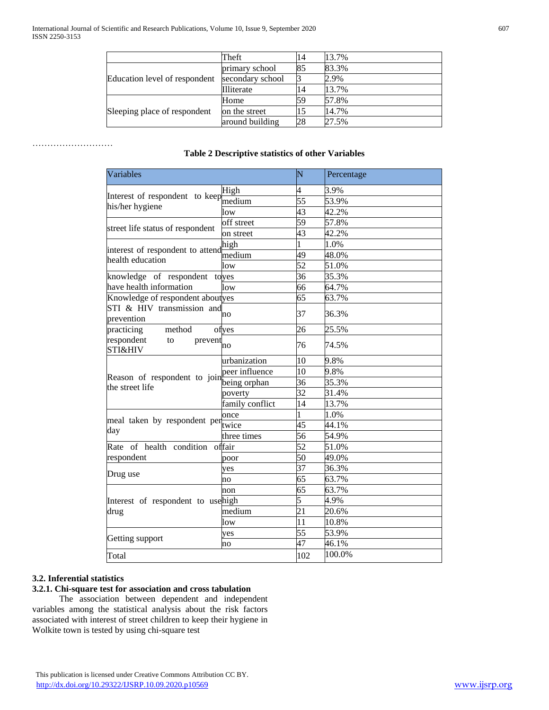|                               | Theft            | 14 | 13.7% |
|-------------------------------|------------------|----|-------|
|                               | primary school   | 85 | 83.3% |
| Education level of respondent | secondary school |    | 2.9%  |
|                               | Illiterate       | 14 | 13.7% |
| Sleeping place of respondent  | Home             | 59 | 57.8% |
|                               | on the street    | 15 | 14.7% |
|                               | around building  | 28 | 27.5% |

# **Table 2 Descriptive statistics of other Variables**

|                                           |                 | N               | Percentage |
|-------------------------------------------|-----------------|-----------------|------------|
|                                           | High            | 4               | 3.9%       |
| Interest of respondent to keep            | median          | 55              | 53.9%      |
| his/her hygiene                           | low             | 43              | 42.2%      |
|                                           | off street      | 59              | 57.8%      |
| street life status of respondent          | on street       | 43              | 42.2%      |
|                                           | high            | 1               | 1.0%       |
| interest of respondent to attend          | medium          | 49              | 48.0%      |
| health education                          | low             | 52              | 51.0%      |
| knowledge of respondent                   | toves           | 36              | 35.3%      |
| have health information                   | low             | 66              | 64.7%      |
| Knowledge of respondent aboutyes          |                 | 65              | 63.7%      |
| STI & HIV transmission and<br>prevention  | no              | 37              | 36.3%      |
| practicing<br>method                      | ofves           | 26              | 25.5%      |
| respondent<br>to<br>prevent<br>STI&HIV    | 'nо             | 76              | 74.5%      |
|                                           | urbanization    | 10              | 9.8%       |
|                                           | peer influence  | 10              | 9.8%       |
| Reason of respondent to join being orphan |                 | 36              | 35.3%      |
| the street life                           | poverty         | 32              | 31.4%      |
|                                           | family conflict | 14              | 13.7%      |
|                                           | once            | 1               | 1.0%       |
| meal taken by respondent per              |                 | 45              | 44.1%      |
| day                                       | three times     | 56              | 54.9%      |
| Rate of health condition offair           |                 | $\overline{52}$ | 51.0%      |
| respondent                                | poor            | 50              | 49.0%      |
|                                           | ves             | 37              | 36.3%      |
| Drug use                                  | no              | 65              | 63.7%      |
|                                           | non             | 65              | 63.7%      |
| Interest of respondent to usehigh         |                 | 5               | 4.9%       |
| drug                                      | medium          | 21              | 20.6%      |
|                                           | low             | 11              | 10.8%      |
|                                           | yes             | 55              | 53.9%      |
| Getting support                           | no              | 47              | 46.1%      |
| Total                                     |                 | 102             | 100.0%     |

# **3.2. Inferential statistics**

………………………

# **3.2.1. Chi-square test for association and cross tabulation**

 The association between dependent and independent variables among the statistical analysis about the risk factors associated with interest of street children to keep their hygiene in Wolkite town is tested by using chi-square test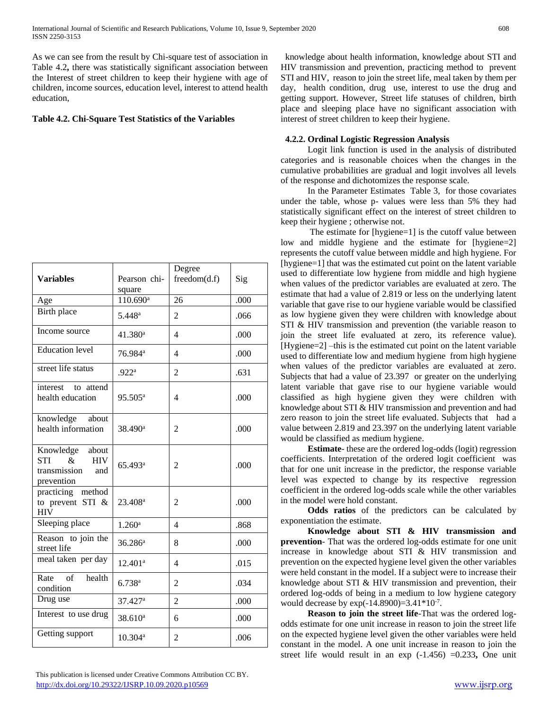As we can see from the result by Chi-square test of association in Table 4.2**,** there was statistically significant association between the Interest of street children to keep their hygiene with age of children, income sources, education level, interest to attend health education,

# **Table 4.2. Chi-Square Test Statistics of the Variables**

| <b>Variables</b>                                                                      | Pearson chi-<br>square | Degree<br>freedom(d.f) | Sig  |
|---------------------------------------------------------------------------------------|------------------------|------------------------|------|
| Age                                                                                   | 110.690 <sup>a</sup>   | 26                     | .000 |
| Birth place                                                                           | 5.448 <sup>a</sup>     | 2                      | .066 |
| Income source                                                                         | 41.380 <sup>a</sup>    | $\overline{4}$         | .000 |
| <b>Education</b> level                                                                | 76.984 <sup>a</sup>    | $\overline{4}$         | .000 |
| street life status                                                                    | .922 <sup>a</sup>      | $\overline{2}$         | .631 |
| interest<br>to attend<br>health education                                             | 95.505 <sup>a</sup>    | 4                      | .000 |
| knowledge<br>about<br>health information                                              | 38.490 <sup>a</sup>    | $\overline{2}$         | .000 |
| Knowledge about<br><b>STI</b><br>&<br><b>HIV</b><br>transmission<br>and<br>prevention | 65.493 <sup>a</sup>    | 2                      | .000 |
| practicing method<br>to prevent STI &<br><b>HIV</b>                                   | 23.408 <sup>a</sup>    | 2                      | .000 |
| Sleeping place                                                                        | $1.260$ <sup>a</sup>   | $\overline{4}$         | .868 |
| Reason to join the<br>street life                                                     | $36.286^a$             | 8                      | .000 |
| meal taken per day                                                                    | 12.401 <sup>a</sup>    | $\overline{4}$         | .015 |
| health<br>Rate<br>of<br>condition                                                     | 6.738a                 | 2                      | .034 |
| Drug use                                                                              | 37.427 <sup>a</sup>    | $\overline{2}$         | .000 |
| Interest to use drug                                                                  | 38.610 <sup>a</sup>    | 6                      | .000 |
| Getting support                                                                       | $10.304^{\rm a}$       | 2                      | .006 |

 knowledge about health information, knowledge about STI and HIV transmission and prevention, practicing method to prevent STI and HIV, reason to join the street life, meal taken by them per day, health condition, drug use, interest to use the drug and getting support. However, Street life statuses of children, birth place and sleeping place have no significant association with interest of street children to keep their hygiene.

#### **4.2.2. Ordinal Logistic Regression Analysis**

 Logit link function is used in the analysis of distributed categories and is reasonable choices when the changes in the cumulative probabilities are gradual and logit involves all levels of the response and dichotomizes the response scale.

 In the Parameter Estimates Table 3, for those covariates under the table, whose p- values were less than 5% they had statistically significant effect on the interest of street children to keep their hygiene ; otherwise not.

 The estimate for [hygiene=1] is the cutoff value between low and middle hygiene and the estimate for [hygiene=2] represents the cutoff value between middle and high hygiene. For [hygiene=1] that was the estimated cut point on the latent variable used to differentiate low hygiene from middle and high hygiene when values of the predictor variables are evaluated at zero. The estimate that had a value of 2.819 or less on the underlying latent variable that gave rise to our hygiene variable would be classified as low hygiene given they were children with knowledge about STI & HIV transmission and prevention (the variable reason to join the street life evaluated at zero, its reference value). [Hygiene=2] –this is the estimated cut point on the latent variable used to differentiate low and medium hygiene from high hygiene when values of the predictor variables are evaluated at zero. Subjects that had a value of 23.397 or greater on the underlying latent variable that gave rise to our hygiene variable would classified as high hygiene given they were children with knowledge about STI & HIV transmission and prevention and had zero reason to join the street life evaluated. Subjects that had a value between 2.819 and 23.397 on the underlying latent variable would be classified as medium hygiene.

 **Estimate**- these are the ordered log-odds (logit) regression coefficients. Interpretation of the ordered logit coefficient was that for one unit increase in the predictor, the response variable level was expected to change by its respective regression coefficient in the ordered log-odds scale while the other variables in the model were hold constant.

 **Odds ratios** of the predictors can be calculated by exponentiation the estimate.

 **Knowledge about STI & HIV transmission and prevention**- That was the ordered log-odds estimate for one unit increase in knowledge about STI & HIV transmission and prevention on the expected hygiene level given the other variables were held constant in the model. If a subject were to increase their knowledge about STI & HIV transmission and prevention, their ordered log-odds of being in a medium to low hygiene category would decrease by  $exp(-14.8900) = 3.41 * 10^{-7}$ .

 **Reason to join the street life**-That was the ordered logodds estimate for one unit increase in reason to join the street life on the expected hygiene level given the other variables were held constant in the model. A one unit increase in reason to join the street life would result in an exp (-1.456) =0.233**,** One unit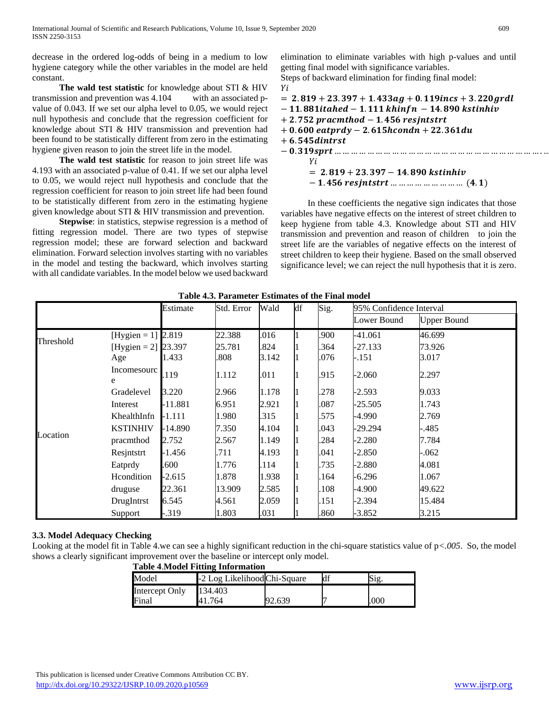decrease in the ordered log-odds of being in a medium to low hygiene category while the other variables in the model are held constant.

 **The wald test statistic** for knowledge about STI & HIV transmission and prevention was 4.104 with an associated pvalue of 0.043. If we set our alpha level to 0.05, we would reject null hypothesis and conclude that the regression coefficient for knowledge about STI & HIV transmission and prevention had been found to be statistically different from zero in the estimating hygiene given reason to join the street life in the model.

 **The wald test statistic** for reason to join street life was 4.193 with an associated p-value of 0.41. If we set our alpha level to 0.05, we would reject null hypothesis and conclude that the regression coefficient for reason to join street life had been found to be statistically different from zero in the estimating hygiene given knowledge about STI & HIV transmission and prevention.

 **Stepwise**: in statistics, stepwise regression is a method of fitting regression model. There are two types of stepwise regression model; these are forward selection and backward elimination. Forward selection involves starting with no variables in the model and testing the backward, which involves starting with all candidate variables. In the model below we used backward elimination to eliminate variables with high p-values and until getting final model with significance variables.

Steps of backward elimination for finding final model: Vi

| $= 2.819 + 23.397 + 1.433ag + 0.119incs + 3.220grdl$ |
|------------------------------------------------------|
| $-11.881$ itahed $-1.111$ khinfn $-14.890$ kstinhiv  |
| $+2.752$ pracmthod $-1.456$ resintstrt               |
| $+0.600$ eatprdy $-2.615$ hcondn $+22.361$ du        |
| $+6.545$ dintrst                                     |
|                                                      |
| Υi                                                   |
| $= 2.819 + 23.397 - 14.890$ kstinhiv                 |
| $-1.456$ resjntstrt         (4.1)                    |

 In these coefficients the negative sign indicates that those variables have negative effects on the interest of street children to keep hygiene from table 4.3. Knowledge about STI and HIV transmission and prevention and reason of children to join the street life are the variables of negative effects on the interest of street children to keep their hygiene. Based on the small observed significance level; we can reject the null hypothesis that it is zero.

|           |                     | Estimate  | Std. Error | Wald  | df | Sig. | 95% Confidence Interval |                    |  |
|-----------|---------------------|-----------|------------|-------|----|------|-------------------------|--------------------|--|
|           |                     |           |            |       |    |      | Lower Bound             | <b>Upper Bound</b> |  |
|           | [Hygien = 1] 2.819  |           | 22.388     | .016  |    | .900 | $-41.061$               | 46.699             |  |
| Threshold | [Hygien = 2] 23.397 |           | 25.781     | .824  |    | 364  | $-27.133$               | 73.926             |  |
|           | Age                 | 1.433     | .808       | 3.142 |    | .076 | -.151                   | 3.017              |  |
|           | Incomesourc<br>e    | .119      | 1.112      | .011  |    | .915 | $-2.060$                | 2.297              |  |
|           | Gradelevel          | 3.220     | 2.966      | 1.178 |    | .278 | $-2.593$                | 9.033              |  |
|           | Interest            | $-11.881$ | 6.951      | 2.921 |    | .087 | -25.505                 | 1.743              |  |
|           | KhealthInfn         | -1.111    | 1.980      | .315  |    | .575 | -4.990                  | 2.769              |  |
|           | <b>KSTINHIV</b>     | -14.890   | 7.350      | 4.104 |    | .043 | -29.294                 | .485               |  |
| Location  | pracmthod           | 2.752     | 2.567      | 1.149 |    | .284 | $-2.280$                | 7.784              |  |
|           | Resintstrt          | -1.456    | .711       | 4.193 |    | .041 | -2.850                  | -.062              |  |
|           | Eatprdy             | .600      | 1.776      | .114  |    | .735 | $-2.880$                | 4.081              |  |
|           | Heondition          | $-2.615$  | 1.878      | 1.938 |    | 164  | -6.296                  | 1.067              |  |
|           | druguse             | 22.361    | 13.909     | 2.585 |    | .108 | -4.900                  | 49.622             |  |
|           | DrugIntrst          | 6.545     | 4.561      | 2.059 |    | 151  | -2.394                  | 15.484             |  |
|           | Support             | $-0.319$  | 1.803      | .031  |    | .860 | $-3.852$                | 3.215              |  |

# **3.3. Model Adequacy Checking**

Looking at the model fit in Table 4.we can see a highly significant reduction in the chi-square statistics value of p*<.005*. So, the model shows a clearly significant improvement over the baseline or intercept only model.

|                | Tavit Turiyati I ildine Tinvi mahal |        |  |     |  |  |
|----------------|-------------------------------------|--------|--|-----|--|--|
| Model          | -2 Log Likelihood Chi-Square        |        |  |     |  |  |
| Intercept Only | 134.403                             |        |  |     |  |  |
| Final          | 764                                 | 92.639 |  | 00C |  |  |

#### **Table 4**.**Model Fitting Information**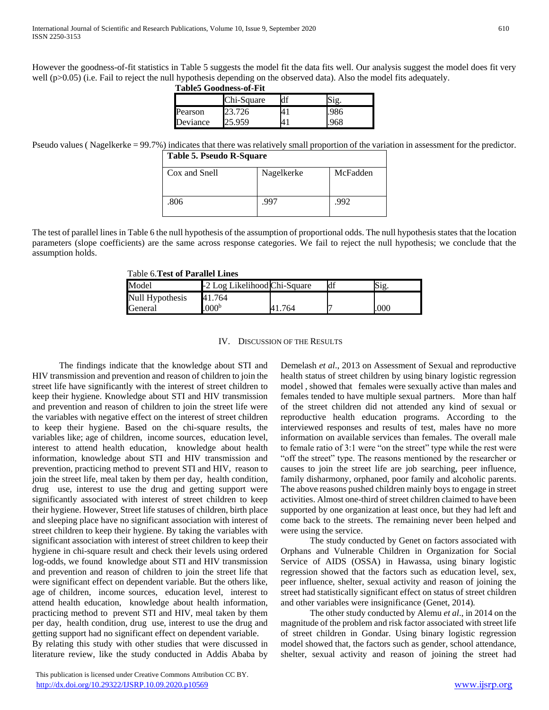However the goodness-of-fit statistics in Table 5 suggests the model fit the data fits well. Our analysis suggest the model does fit very well (p>0.05) (i.e. Fail to reject the null hypothesis depending on the observed data). Also the model fits adequately. **Table5 Goodness-of-Fit**

|          | тарку сгодински п-т п |    |  |  |  |  |
|----------|-----------------------|----|--|--|--|--|
|          | Chi-Square            | df |  |  |  |  |
| Pearson  |                       |    |  |  |  |  |
| Deviance |                       |    |  |  |  |  |

Pseudo values (Nagelkerke = 99.7%) indicates that there was relatively small proportion of the variation in assessment for the predictor. **Table 5. Pseudo R-Square**

| Table 5. Pseudo R-Square |            |          |  |  |
|--------------------------|------------|----------|--|--|
| Cox and Snell            | Nagelkerke | McFadden |  |  |
|                          |            |          |  |  |
| 806                      | 997        | .992     |  |  |
|                          |            |          |  |  |

The test of parallel lines in Table 6 the null hypothesis of the assumption of proportional odds. The null hypothesis states that the location parameters (slope coefficients) are the same across response categories. We fail to reject the null hypothesis; we conclude that the assumption holds.

Table 6.**Test of Parallel Lines**

| Model           | -2 Log Likelihood Chi-Square |  |     |
|-----------------|------------------------------|--|-----|
| Null Hypothesis | 41.764                       |  |     |
| General         | .000 <sup>b</sup>            |  | 000 |

#### IV. DISCUSSION OF THE RESULTS

 The findings indicate that the knowledge about STI and HIV transmission and prevention and reason of children to join the street life have significantly with the interest of street children to keep their hygiene. Knowledge about STI and HIV transmission and prevention and reason of children to join the street life were the variables with negative effect on the interest of street children to keep their hygiene. Based on the chi-square results, the variables like; age of children, income sources, education level, interest to attend health education, knowledge about health information, knowledge about STI and HIV transmission and prevention, practicing method to prevent STI and HIV, reason to join the street life, meal taken by them per day, health condition, drug use, interest to use the drug and getting support were significantly associated with interest of street children to keep their hygiene. However, Street life statuses of children, birth place and sleeping place have no significant association with interest of street children to keep their hygiene. By taking the variables with significant association with interest of street children to keep their hygiene in chi-square result and check their levels using ordered log-odds, we found knowledge about STI and HIV transmission and prevention and reason of children to join the street life that were significant effect on dependent variable. But the others like, age of children, income sources, education level, interest to attend health education, knowledge about health information, practicing method to prevent STI and HIV, meal taken by them per day, health condition, drug use, interest to use the drug and getting support had no significant effect on dependent variable. By relating this study with other studies that were discussed in literature review, like the study conducted in Addis Ababa by

 This publication is licensed under Creative Commons Attribution CC BY. <http://dx.doi.org/10.29322/IJSRP.10.09.2020.p10569> [www.ijsrp.org](http://ijsrp.org/)

Demelash *et al*., 2013 on Assessment of Sexual and reproductive health status of street children by using binary logistic regression model , showed that females were sexually active than males and females tended to have multiple sexual partners. More than half of the street children did not attended any kind of sexual or reproductive health education programs. According to the interviewed responses and results of test, males have no more information on available services than females. The overall male to female ratio of 3:1 were "on the street" type while the rest were "off the street" type. The reasons mentioned by the researcher or causes to join the street life are job searching, peer influence, family disharmony, orphaned, poor family and alcoholic parents. The above reasons pushed children mainly boys to engage in street activities. Almost one-third of street children claimed to have been supported by one organization at least once, but they had left and come back to the streets. The remaining never been helped and were using the service.

 The study conducted by Genet on factors associated with Orphans and Vulnerable Children in Organization for Social Service of AIDS (OSSA) in Hawassa, using binary logistic regression showed that the factors such as education level, sex, peer influence, shelter, sexual activity and reason of joining the street had statistically significant effect on status of street children and other variables were insignificance (Genet, 2014)*.* 

 The other study conducted by Alemu *et al*., in 2014 on the magnitude of the problem and risk factor associated with street life of street children in Gondar. Using binary logistic regression model showed that, the factors such as gender, school attendance, shelter, sexual activity and reason of joining the street had